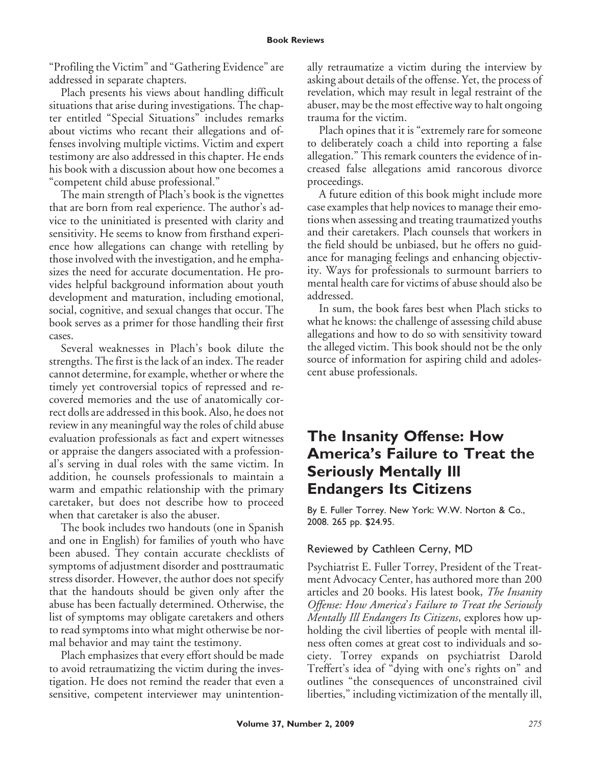"Profiling the Victim" and "Gathering Evidence" are addressed in separate chapters.

Plach presents his views about handling difficult situations that arise during investigations. The chapter entitled "Special Situations" includes remarks about victims who recant their allegations and offenses involving multiple victims. Victim and expert testimony are also addressed in this chapter. He ends his book with a discussion about how one becomes a "competent child abuse professional."

The main strength of Plach's book is the vignettes that are born from real experience. The author's advice to the uninitiated is presented with clarity and sensitivity. He seems to know from firsthand experience how allegations can change with retelling by those involved with the investigation, and he emphasizes the need for accurate documentation. He provides helpful background information about youth development and maturation, including emotional, social, cognitive, and sexual changes that occur. The book serves as a primer for those handling their first cases.

Several weaknesses in Plach's book dilute the strengths. The first is the lack of an index. The reader cannot determine, for example, whether or where the timely yet controversial topics of repressed and recovered memories and the use of anatomically correct dolls are addressed in this book. Also, he does not review in any meaningful way the roles of child abuse evaluation professionals as fact and expert witnesses or appraise the dangers associated with a professional's serving in dual roles with the same victim. In addition, he counsels professionals to maintain a warm and empathic relationship with the primary caretaker, but does not describe how to proceed when that caretaker is also the abuser.

The book includes two handouts (one in Spanish and one in English) for families of youth who have been abused. They contain accurate checklists of symptoms of adjustment disorder and posttraumatic stress disorder. However, the author does not specify that the handouts should be given only after the abuse has been factually determined. Otherwise, the list of symptoms may obligate caretakers and others to read symptoms into what might otherwise be normal behavior and may taint the testimony.

Plach emphasizes that every effort should be made to avoid retraumatizing the victim during the investigation. He does not remind the reader that even a sensitive, competent interviewer may unintentionally retraumatize a victim during the interview by asking about details of the offense. Yet, the process of revelation, which may result in legal restraint of the abuser, may be the most effective way to halt ongoing trauma for the victim.

Plach opines that it is "extremely rare for someone to deliberately coach a child into reporting a false allegation." This remark counters the evidence of increased false allegations amid rancorous divorce proceedings.

A future edition of this book might include more case examples that help novices to manage their emotions when assessing and treating traumatized youths and their caretakers. Plach counsels that workers in the field should be unbiased, but he offers no guidance for managing feelings and enhancing objectivity. Ways for professionals to surmount barriers to mental health care for victims of abuse should also be addressed.

In sum, the book fares best when Plach sticks to what he knows: the challenge of assessing child abuse allegations and how to do so with sensitivity toward the alleged victim. This book should not be the only source of information for aspiring child and adolescent abuse professionals.

## **The Insanity Offense: How America's Failure to Treat the Seriously Mentally Ill Endangers Its Citizens**

By E. Fuller Torrey. New York: W.W. Norton & Co., 2008. 265 pp. \$24.95.

## Reviewed by Cathleen Cerny, MD

Psychiatrist E. Fuller Torrey, President of the Treatment Advocacy Center, has authored more than 200 articles and 20 books. His latest book, *The Insanity Offense: How America*'*s Failure to Treat the Seriously Mentally Ill Endangers Its Citizens*, explores how upholding the civil liberties of people with mental illness often comes at great cost to individuals and society. Torrey expands on psychiatrist Darold Treffert's idea of "dying with one's rights on" and outlines "the consequences of unconstrained civil liberties," including victimization of the mentally ill,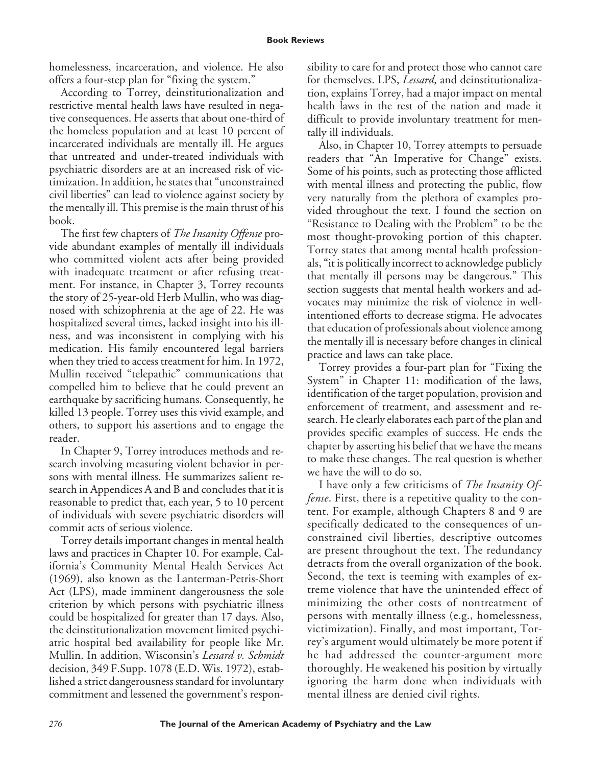homelessness, incarceration, and violence. He also offers a four-step plan for "fixing the system."

According to Torrey, deinstitutionalization and restrictive mental health laws have resulted in negative consequences. He asserts that about one-third of the homeless population and at least 10 percent of incarcerated individuals are mentally ill. He argues that untreated and under-treated individuals with psychiatric disorders are at an increased risk of victimization. In addition, he states that "unconstrained civil liberties" can lead to violence against society by the mentally ill. This premise is the main thrust of his book.

The first few chapters of *The Insanity Offense* provide abundant examples of mentally ill individuals who committed violent acts after being provided with inadequate treatment or after refusing treatment. For instance, in Chapter 3, Torrey recounts the story of 25-year-old Herb Mullin, who was diagnosed with schizophrenia at the age of 22. He was hospitalized several times, lacked insight into his illness, and was inconsistent in complying with his medication. His family encountered legal barriers when they tried to access treatment for him. In 1972, Mullin received "telepathic" communications that compelled him to believe that he could prevent an earthquake by sacrificing humans. Consequently, he killed 13 people. Torrey uses this vivid example, and others, to support his assertions and to engage the reader.

In Chapter 9, Torrey introduces methods and research involving measuring violent behavior in persons with mental illness. He summarizes salient research in Appendices A and B and concludes that it is reasonable to predict that, each year, 5 to 10 percent of individuals with severe psychiatric disorders will commit acts of serious violence.

Torrey details important changes in mental health laws and practices in Chapter 10. For example, California's Community Mental Health Services Act (1969), also known as the Lanterman-Petris-Short Act (LPS), made imminent dangerousness the sole criterion by which persons with psychiatric illness could be hospitalized for greater than 17 days. Also, the deinstitutionalization movement limited psychiatric hospital bed availability for people like Mr. Mullin. In addition, Wisconsin's *Lessard v. Schmidt* decision, 349 F.Supp. 1078 (E.D. Wis. 1972), established a strict dangerousness standard for involuntary commitment and lessened the government's responsibility to care for and protect those who cannot care for themselves. LPS, *Lessard*, and deinstitutionalization, explains Torrey, had a major impact on mental health laws in the rest of the nation and made it difficult to provide involuntary treatment for mentally ill individuals.

Also, in Chapter 10, Torrey attempts to persuade readers that "An Imperative for Change" exists. Some of his points, such as protecting those afflicted with mental illness and protecting the public, flow very naturally from the plethora of examples provided throughout the text. I found the section on "Resistance to Dealing with the Problem" to be the most thought-provoking portion of this chapter. Torrey states that among mental health professionals, "it is politically incorrect to acknowledge publicly that mentally ill persons may be dangerous." This section suggests that mental health workers and advocates may minimize the risk of violence in wellintentioned efforts to decrease stigma. He advocates that education of professionals about violence among the mentally ill is necessary before changes in clinical practice and laws can take place.

Torrey provides a four-part plan for "Fixing the System" in Chapter 11: modification of the laws, identification of the target population, provision and enforcement of treatment, and assessment and research. He clearly elaborates each part of the plan and provides specific examples of success. He ends the chapter by asserting his belief that we have the means to make these changes. The real question is whether we have the will to do so.

I have only a few criticisms of *The Insanity Offense*. First, there is a repetitive quality to the content. For example, although Chapters 8 and 9 are specifically dedicated to the consequences of unconstrained civil liberties, descriptive outcomes are present throughout the text. The redundancy detracts from the overall organization of the book. Second, the text is teeming with examples of extreme violence that have the unintended effect of minimizing the other costs of nontreatment of persons with mentally illness (e.g., homelessness, victimization). Finally, and most important, Torrey's argument would ultimately be more potent if he had addressed the counter-argument more thoroughly. He weakened his position by virtually ignoring the harm done when individuals with mental illness are denied civil rights.